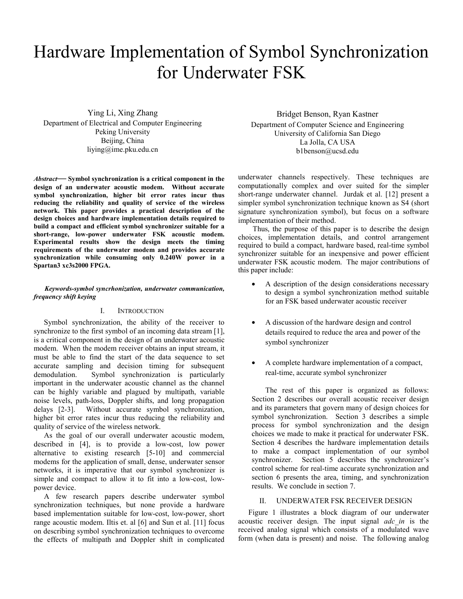# Hardware Implementation of Symbol Synchronization for Underwater FSK

Ying Li, Xing Zhang Department of Electrical and Computer Engineering Peking University Beijing, China liying@ime.pku.edu.cn

*Abstract***! Symbol synchronization is a critical component in the design of an underwater acoustic modem. Without accurate symbol synchronization, higher bit error rates incur thus reducing the reliability and quality of service of the wireless network. This paper provides a practical description of the design choices and hardware implementation details required to build a compact and efficient symbol synchronizer suitable for a short-range, low-power underwater FSK acoustic modem. Experimental results show the design meets the timing requirements of the underwater modem and provides accurate synchronization while consuming only 0.240W power in a Spartan3 xc3s2000 FPGA.** 

## *Keywords-symbol syncrhonization, underwater communication, frequency shift keying*

# I. INTRODUCTION

Symbol synchronization, the ability of the receiver to synchronize to the first symbol of an incoming data stream [1], is a critical component in the design of an underwater acoustic modem. When the modem receiver obtains an input stream, it must be able to find the start of the data sequence to set accurate sampling and decision timing for subsequent demodulation. Symbol synchronization is particularly important in the underwater acoustic channel as the channel can be highly variable and plagued by multipath, variable noise levels, path-loss, Doppler shifts, and long propagation delays [2-3]. Without accurate symbol synchronization, higher bit error rates incur thus reducing the reliability and quality of service of the wireless network.

As the goal of our overall underwater acoustic modem, described in [4], is to provide a low-cost, low power alternative to existing research [5-10] and commercial modems for the application of small, dense, underwater sensor networks, it is imperative that our symbol synchronizer is simple and compact to allow it to fit into a low-cost, lowpower device.

A few research papers describe underwater symbol synchronization techniques, but none provide a hardware based implementation suitable for low-cost, low-power, short range acoustic modem. Iltis et. al [6] and Sun et al. [11] focus on describing symbol synchronization techniques to overcome the effects of multipath and Doppler shift in complicated

Bridget Benson, Ryan Kastner Department of Computer Science and Engineering University of California San Diego La Jolla, CA USA b1benson@ucsd.edu

underwater channels respectively. These techniques are computationally complex and over suited for the simpler short-range underwater channel. Jurdak et al. [12] present a simpler symbol synchronization technique known as S4 (short signature synchronization symbol), but focus on a software implementation of their method.

 Thus, the purpose of this paper is to describe the design choices, implementation details, and control arrangement required to build a compact, hardware based, real-time symbol synchronizer suitable for an inexpensive and power efficient underwater FSK acoustic modem. The major contributions of this paper include:

- A description of the design considerations necessary to design a symbol synchronization method suitable for an FSK based underwater acoustic receiver
- A discussion of the hardware design and control details required to reduce the area and power of the symbol synchronizer
- A complete hardware implementation of a compact, real-time, accurate symbol synchronizer

The rest of this paper is organized as follows: Section 2 describes our overall acoustic receiver design and its parameters that govern many of design choices for symbol synchronization. Section 3 describes a simple process for symbol synchronization and the design choices we made to make it practical for underwater FSK. Section 4 describes the hardware implementation details to make a compact implementation of our symbol synchronizer. Section 5 describes the synchronizer's control scheme for real-time accurate synchronization and section 6 presents the area, timing, and synchronization results. We conclude in section 7.

# II. UNDERWATER FSK RECEIVER DESIGN

Figure 1 illustrates a block diagram of our underwater acoustic receiver design. The input signal *adc\_in* is the received analog signal which consists of a modulated wave form (when data is present) and noise. The following analog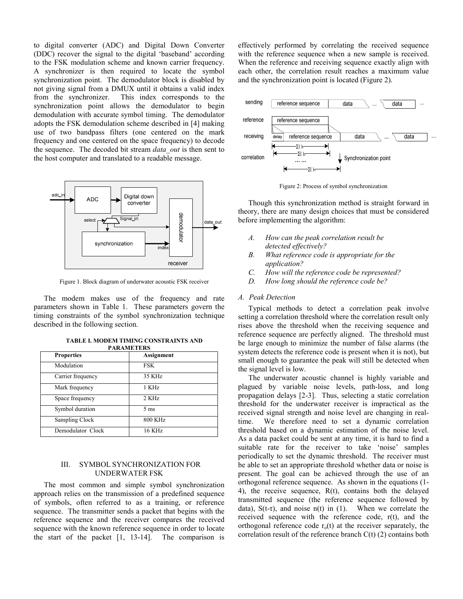to digital converter (ADC) and Digital Down Converter (DDC) recover the signal to the digital 'baseband' according to the FSK modulation scheme and known carrier frequency. A synchronizer is then required to locate the symbol synchronization point. The demodulator block is disabled by not giving signal from a DMUX until it obtains a valid index from the synchronizer. This index corresponds to the synchronization point allows the demodulator to begin demodulation with accurate symbol timing. The demodulator adopts the FSK demodulation scheme described in [4] making use of two bandpass filters (one centered on the mark frequency and one centered on the space frequency) to decode the sequence. The decoded bit stream *data\_out* is then sent to the host computer and translated to a readable message.



Figure 1. Block diagram of underwater acoustic FSK receiver

The modem makes use of the frequency and rate parameters shown in Table 1. These parameters govern the timing constraints of the symbol synchronization technique described in the following section.

| <b>Properties</b> | Assignment     |
|-------------------|----------------|
| Modulation        | FSK            |
| Carrier frequency | 35 KHz         |
| Mark frequency    | 1 KHz          |
| Space frequency   | 2 KHz          |
| Symbol duration   | $5 \text{ ms}$ |
| Sampling Clock    | <b>800 KHz</b> |
| Demodulator Clock | 16 KHz         |

**TABLE I. MODEM TIMING CONSTRAINTS AND PARAMETERS** 

# III. SYMBOL SYNCHRONIZATION FOR UNDERWATER FSK

The most common and simple symbol synchronization approach relies on the transmission of a predefined sequence of symbols, often referred to as a training, or reference sequence. The transmitter sends a packet that begins with the reference sequence and the receiver compares the received sequence with the known reference sequence in order to locate the start of the packet  $[1, 13-14]$ . The comparison is

effectively performed by correlating the received sequence with the reference sequence when a new sample is received. When the reference and receiving sequence exactly align with each other, the correlation result reaches a maximum value and the synchronization point is located (Figure 2).



Figure 2: Process of symbol synchronization

Though this synchronization method is straight forward in theory, there are many design choices that must be considered before implementing the algorithm:

- *A. How can the peak correlation result be detected effectively?*
- *B. What reference code is appropriate for the application?*
- *C. How will the reference code be represented?*
- *D. How long should the reference code be?*

# *A. Peak Detection*

Typical methods to detect a correlation peak involve setting a correlation threshold where the correlation result only rises above the threshold when the receiving sequence and reference sequence are perfectly aligned. The threshold must be large enough to minimize the number of false alarms (the system detects the reference code is present when it is not), but small enough to guarantee the peak will still be detected when the signal level is low.

The underwater acoustic channel is highly variable and plagued by variable noise levels, path-loss, and long propagation delays [2-3]. Thus, selecting a static correlation threshold for the underwater receiver is impractical as the received signal strength and noise level are changing in realtime. We therefore need to set a dynamic correlation threshold based on a dynamic estimation of the noise level. As a data packet could be sent at any time, it is hard to find a suitable rate for the receiver to take 'noise' samples periodically to set the dynamic threshold. The receiver must be able to set an appropriate threshold whether data or noise is present. The goal can be achieved through the use of an orthogonal reference sequence. As shown in the equations (1- 4), the receive sequence, R(t), contains both the delayed transmitted sequence (the reference sequence followed by data),  $S(t-\tau)$ , and noise n(t) in (1). When we correlate the received sequence with the reference code, r(t), and the orthogonal reference code  $r<sub>o</sub>(t)$  at the receiver separately, the correlation result of the reference branch  $C(t)$  (2) contains both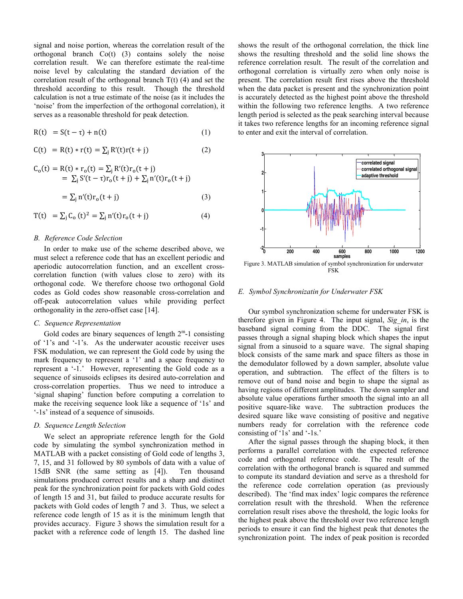signal and noise portion, whereas the correlation result of the orthogonal branch  $Co(t)$  (3) contains solely the noise correlation result. We can therefore estimate the real-time noise level by calculating the standard deviation of the correlation result of the orthogonal branch  $T(t)$  (4) and set the threshold according to this result. Though the threshold calculation is not a true estimate of the noise (as it includes the 'noise' from the imperfection of the orthogonal correlation), it serves as a reasonable threshold for peak detection.

$$
R(t) = S(t - \tau) + n(t)
$$
 (1)

$$
C(t) = R(t) * r(t) = \sum_{j} R'(t)r(t + j)
$$
 (2)

$$
C_{o}(t) = R(t) * r_{o}(t) = \sum_{j} R'(t)r_{o}(t + j)
$$
  
=  $\sum_{j} S'(t - \tau)r_{o}(t + j) + \sum_{j} n'(t)r_{o}(t + j)$   
=  $\sum_{j} n'(t)r_{o}(t + j)$  (3)

$$
T(t) = \sum_{j} C_{o}(t)^{2} = \sum_{j} n'(t) r_{o}(t + j)
$$
 (4)

# *B. Reference Code Selection*

In order to make use of the scheme described above, we must select a reference code that has an excellent periodic and aperiodic autocorrelation function, and an excellent crosscorrelation function (with values close to zero) with its orthogonal code. We therefore choose two orthogonal Gold codes as Gold codes show reasonable cross-correlation and off-peak autocorrelation values while providing perfect orthogonality in the zero-offset case [14].

# *C. Sequence Representation*

Gold codes are binary sequences of length  $2^m$ -1 consisting of '1's and '-1's. As the underwater acoustic receiver uses FSK modulation, we can represent the Gold code by using the mark frequency to represent a  $1'$  and a space frequency to represent a '-1.' However, representing the Gold code as a sequence of sinusoids eclipses its desired auto-correlation and cross-correlation properties. Thus we need to introduce a 'signal shaping' function before computing a correlation to make the receiving sequence look like a sequence of '1s' and '-1s' instead of a sequence of sinusoids.

#### *D. Sequence Length Selection*

We select an appropriate reference length for the Gold code by simulating the symbol synchronization method in MATLAB with a packet consisting of Gold code of lengths 3, 7, 15, and 31 followed by 80 symbols of data with a value of 15dB SNR (the same setting as [4]). Ten thousand simulations produced correct results and a sharp and distinct peak for the synchronization point for packets with Gold codes of length 15 and 31, but failed to produce accurate results for packets with Gold codes of length 7 and 3. Thus, we select a reference code length of 15 as it is the minimum length that provides accuracy. Figure 3 shows the simulation result for a packet with a reference code of length 15. The dashed line

shows the result of the orthogonal correlation, the thick line shows the resulting threshold and the solid line shows the reference correlation result. The result of the correlation and orthogonal correlation is virtually zero when only noise is present. The correlation result first rises above the threshold when the data packet is present and the synchronization point is accurately detected as the highest point above the threshold within the following two reference lengths. A two reference length period is selected as the peak searching interval because it takes two reference lengths for an incoming reference signal to enter and exit the interval of correlation.



Figure 3. MATLAB simulation of symbol synchronization for underwater FSK

#### *E. Symbol Synchronizatin for Underwater FSK*

Our symbol synchronization scheme for underwater FSK is therefore given in Figure 4. The input signal, *Sig\_in*, is the baseband signal coming from the DDC. The signal first passes through a signal shaping block which shapes the input signal from a sinusoid to a square wave. The signal shaping block consists of the same mark and space filters as those in the demodulator followed by a down sampler, absolute value operation, and subtraction. The effect of the filters is to remove out of band noise and begin to shape the signal as having regions of different amplitudes. The down sampler and absolute value operations further smooth the signal into an all positive square-like wave. The subtraction produces the desired square like wave consisting of positive and negative numbers ready for correlation with the reference code consisting of '1s' and '-1s.'

After the signal passes through the shaping block, it then performs a parallel correlation with the expected reference code and orthogonal reference code. The result of the correlation with the orthogonal branch is squared and summed to compute its standard deviation and serve as a threshold for the reference code correlation operation (as previously described). The 'find max index' logic compares the reference correlation result with the threshold. When the reference correlation result rises above the threshold, the logic looks for the highest peak above the threshold over two reference length periods to ensure it can find the highest peak that denotes the synchronization point. The index of peak position is recorded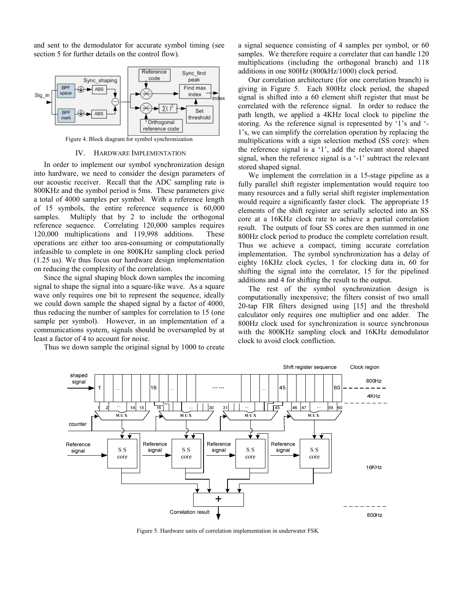and sent to the demodulator for accurate symbol timing (see section 5 for further details on the control flow).



Figure 4. Block diagram for symbol synchronization

# IV. HARDWARE IMPLEMENTATION

In order to implement our symbol synchronization design into hardware, we need to consider the design parameters of our acoustic receiver. Recall that the ADC sampling rate is 800KHz and the symbol period is 5ms. These parameters give a total of 4000 samples per symbol. With a reference length of 15 symbols, the entire reference sequence is 60,000 samples. Multiply that by 2 to include the orthogonal reference sequence. Correlating 120,000 samples requires 120,000 multiplications and 119,998 additions. These operations are either too area-consuming or computationally infeasible to complete in one 800KHz sampling clock period (1.25 us). We thus focus our hardware design implementation on reducing the complexity of the correlation.

Since the signal shaping block down samples the incoming signal to shape the signal into a square-like wave. As a square wave only requires one bit to represent the sequence, ideally we could down sample the shaped signal by a factor of 4000, thus reducing the number of samples for correlation to 15 (one sample per symbol). However, in an implementation of a communications system, signals should be oversampled by at least a factor of 4 to account for noise.

Thus we down sample the original signal by 1000 to create

a signal sequence consisting of 4 samples per symbol, or 60 samples. We therefore require a correlater that can handle 120 multiplications (including the orthogonal branch) and 118 additions in one 800Hz (800kHz/1000) clock period.

Our correlation architecture (for one correlation branch) is giving in Figure 5. Each 800Hz clock period, the shaped signal is shifted into a 60 element shift register that must be correlated with the reference signal. In order to reduce the path length, we applied a 4KHz local clock to pipeline the storing. As the reference signal is represented by  $\lq$  is and  $\lq$ -1's, we can simplify the correlation operation by replacing the multiplications with a sign selection method (SS core): when the reference signal is a '1', add the relevant stored shaped signal, when the reference signal is a  $-1$  subtract the relevant stored shaped signal.

We implement the correlation in a 15-stage pipeline as a fully parallel shift register implementation would require too many resources and a fully serial shift register implementation would require a significantly faster clock. The appropriate 15 elements of the shift register are serially selected into an SS core at a 16KHz clock rate to achieve a partial correlation result. The outputs of four SS cores are then summed in one 800Hz clock period to produce the complete correlation result. Thus we achieve a compact, timing accurate correlation implementation. The symbol synchronization has a delay of eighty 16KHz clock cycles, 1 for clocking data in, 60 for shifting the signal into the correlator, 15 for the pipelined additions and 4 for shifting the result to the output.

The rest of the symbol synchronization design is computationally inexpensive; the filters consist of two small 20-tap FIR filters designed using [15] and the threshold calculator only requires one multiplier and one adder. The 800Hz clock used for synchronization is source synchronous with the 800KHz sampling clock and 16KHz demodulator clock to avoid clock confliction.



Figure 5. Hardware units of correlation implementation in underwater FSK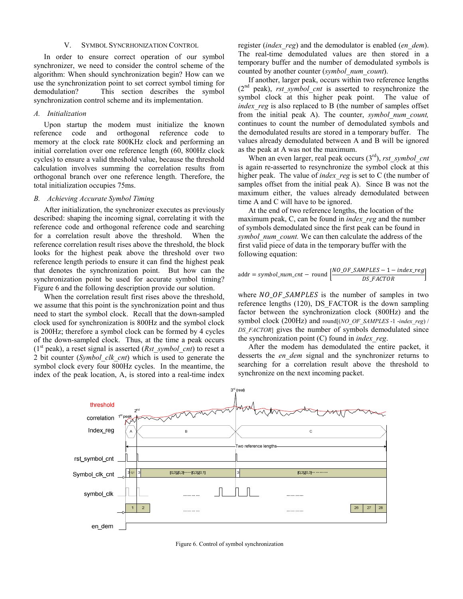## V. SYMBOL SYNCRHONIZATION CONTROL

In order to ensure correct operation of our symbol synchronizer, we need to consider the control scheme of the algorithm: When should synchronization begin? How can we use the synchronization point to set correct symbol timing for demodulation? This section describes the symbol synchronization control scheme and its implementation.

# *A. Initialization*

Upon startup the modem must initialize the known reference code and orthogonal reference code to memory at the clock rate 800KHz clock and performing an initial correlation over one reference length (60, 800Hz clock cycles) to ensure a valid threshold value, because the threshold calculation involves summing the correlation results from orthogonal branch over one reference length. Therefore, the total initialization occupies 75ms.

#### *B. Achieving Accurate Symbol Timing*

After initialization, the synchronizer executes as previously described: shaping the incoming signal, correlating it with the reference code and orthogonal reference code and searching for a correlation result above the threshold. When the reference correlation result rises above the threshold, the block looks for the highest peak above the threshold over two reference length periods to ensure it can find the highest peak that denotes the synchronization point. But how can the synchronization point be used for accurate symbol timing? Figure 6 and the following description provide our solution.

When the correlation result first rises above the threshold, we assume that this point is the synchronization point and thus need to start the symbol clock. Recall that the down-sampled clock used for synchronization is 800Hz and the symbol clock is 200Hz; therefore a symbol clock can be formed by 4 cycles of the down-sampled clock. Thus, at the time a peak occurs  $(1<sup>st</sup> peak)$ , a reset signal is asserted (*Rst\_symbol\_cnt*) to reset a 2 bit counter (*Symbol\_clk\_cnt*) which is used to generate the symbol clock every four 800Hz cycles. In the meantime, the index of the peak location, A, is stored into a real-time index register (*index\_reg*) and the demodulator is enabled (*en\_dem*). The real-time demodulated values are then stored in a temporary buffer and the number of demodulated symbols is counted by another counter (*symbol\_num\_count*).

If another, larger peak, occurs within two reference lengths (2<sup>nd</sup> peak), *rst symbol cnt* is asserted to resynchronize the symbol clock at this higher peak point. The value of *index reg* is also replaced to B (the number of samples offset from the initial peak A). The counter, *symbol\_num\_count,*  continues to count the number of demodulated symbols and the demodulated results are stored in a temporary buffer. The values already demodulated between A and B will be ignored as the peak at A was not the maximum.

When an even larger, real peak occurs (3<sup>rd</sup>), *rst\_symbol\_cnt* is again re-asserted to resynchronize the symbol clock at this higher peak. The value of *index reg* is set to C (the number of samples offset from the initial peak A). Since B was not the maximum either, the values already demodulated between time A and C will have to be ignored.

At the end of two reference lengths, the location of the maximum peak, C, can be found in *index\_reg* and the number of symbols demodulated since the first peak can be found in *symbol\_num\_count.* We can then calculate the address of the first valid piece of data in the temporary buffer with the following equation:

$$
addr = symbol\_num\_cnt - round \left[ \frac{NO\_OF\_SAMPLES - 1 - index\_reg}{DS\_FACTOR} \right]
$$

where  $NO$ <sub>-</sub> $OF$ <sub>-</sub> $SAMPLES$  is the number of samples in two reference lengths (120), DS\_FACTOR is the down sampling factor between the synchronization clock (800Hz) and the symbol clock (200Hz) and round[(*NO\_OF\_SAMPLES* -1 -*index\_reg*) / *DS\_FACTOR*] gives the number of symbols demodulated since the synchronization point (C) found in *index\_reg*.

After the modem has demodulated the entire packet, it desserts the *en* dem signal and the synchronizer returns to searching for a correlation result above the threshold to synchronize on the next incoming packet.



Figure 6. Control of symbol synchronization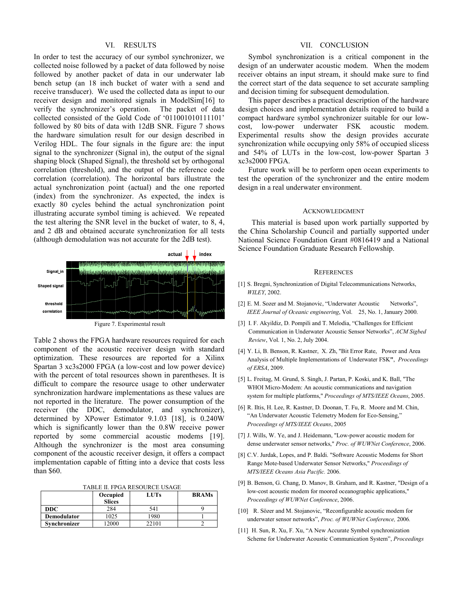#### VI. RESULTS

In order to test the accuracy of our symbol synchronizer, we collected noise followed by a packet of data followed by noise followed by another packet of data in our underwater lab bench setup (an 18 inch bucket of water with a send and receive transducer). We used the collected data as input to our receiver design and monitored signals in ModelSim[16] to verify the synchronizer's operation. The packet of data collected consisted of the Gold Code of '011001010111101' followed by 80 bits of data with 12dB SNR. Figure 7 shows the hardware simulation result for our design described in Verilog HDL. The four signals in the figure are: the input signal to the synchronizer (Signal in), the output of the signal shaping block (Shaped Signal), the threshold set by orthogonal correlation (threshold), and the output of the reference code correlation (correlation). The horizontal bars illustrate the actual synchronization point (actual) and the one reported (index) from the synchronizer. As expected, the index is exactly 80 cycles behind the actual synchronization point illustrating accurate symbol timing is achieved. We repeated the test altering the SNR level in the bucket of water, to 8, 4, and 2 dB and obtained accurate synchronization for all tests (although demodulation was not accurate for the 2dB test).



Figure 7. Experimental result

Table 2 shows the FPGA hardware resources required for each component of the acoustic receiver design with standard optimization. These resources are reported for a Xilinx Spartan 3 xc3s2000 FPGA (a low-cost and low power device) with the percent of total resources shown in parentheses. It is difficult to compare the resource usage to other underwater synchronization hardware implementations as these values are not reported in the literature. The power consumption of the receiver (the DDC, demodulator, and synchronizer), determined by XPower Estimator 9.1.03 [18], is 0.240W which is significantly lower than the 0.8W receive power reported by some commercial acoustic modems [19]. Although the synchronizer is the most area consuming component of the acoustic receiver design, it offers a compact implementation capable of fitting into a device that costs less than \$60.

TABLE II. FPGA RESOURCE USAGE

|                    | Occupied<br><b>Slices</b> | <b>LUTs</b> | <b>BRAMs</b> |
|--------------------|---------------------------|-------------|--------------|
| <b>DDC</b>         | 284                       | 541         |              |
| <b>Demodulator</b> | 025                       | 1980        |              |
| Synchronizer       | .2000                     | 22101       |              |

#### VII. CONCLUSION

Symbol synchronization is a critical component in the design of an underwater acoustic modem. When the modem receiver obtains an input stream, it should make sure to find the correct start of the data sequence to set accurate sampling and decision timing for subsequent demodulation.

This paper describes a practical description of the hardware design choices and implementation details required to build a compact hardware symbol synchronizer suitable for our lowcost, low-power underwater FSK acoustic modem. Experimental results show the design provides accurate synchronization while occupying only 58% of occupied slicess and 54% of LUTs in the low-cost, low-power Spartan 3 xc3s2000 FPGA.

Future work will be to perform open ocean experiments to test the operation of the synchronizer and the entire modem design in a real underwater environment.

#### ACKNOWLEDGMENT

This material is based upon work partially supported by the China Scholarship Council and partially supported under National Science Foundation Grant #0816419 and a National Science Foundation Graduate Research Fellowship.

#### **REFERENCES**

- [1] S. Bregni, Synchronization of Digital Telecommunications Networks, *WILEY*, 2002.
- [2] E. M. Sozer and M. Stojanovic, "Underwater Acoustic Networks", *IEEE Journal of Oceanic engineering*, Vol. 25, No. 1, January 2000.
- [3] I. F. Akyildiz, D. Pompili and T. Melodia, "Challenges for Efficient Communication in Underwater Acoustic Sensor Networks", *ACM Sigbed Review*, Vol. 1, No. 2, July 2004.
- [4] Y. Li, B. Benson, R. Kastner, X. Zh, "Bit Error Rate, Power and Area Analysis of Multiple Implementations of Underwater FSK**"**, *Proceedings of ERSA*, 2009.
- [5] L. Freitag, M. Grund, S. Singh, J. Partan, P. Koski, and K. Ball, "The WHOI Micro-Modem: An acoustic communications and navigation system for multiple platforms," *Proceedings of MTS/IEEE Oceans*, 2005.
- [6] R. Iltis, H. Lee, R. Kastner, D. Doonan, T. Fu, R. Moore and M. Chin, "An Underwater Acoustic Telemetry Modem for Eco-Sensing," *Proceedings of MTS/IEEE Oceans*, 2005
- [7] J. Wills, W. Ye, and J. Heidemann, "Low-power acoustic modem for dense underwater sensor networks," *Proc. of WUWNet Conference*, 2006.
- [8] C.V. Jurdak, Lopes, and P. Baldi. "Software Acoustic Modems for Short Range Mote-based Underwater Sensor Networks," *Proceedings of MTS/IEEE Oceans Asia Pacific.* 2006.
- [9] B. Benson, G. Chang, D. Manov, B. Graham, and R. Kastner, "Design of a low-cost acoustic modem for moored oceanographic applications," *Proceedings of WUWNet Conference*, 2006.
- [10] R. Sözer and M. Stojanovic, "Reconfigurable acoustic modem for underwater sensor networks", Proc. of WUWNet Conference, 2006.
- [11] H. Sun, R. Xu, F. Xu, "A New Accurate Symbol synchronization Scheme for Underwater Acoustic Communication System", Proceedings